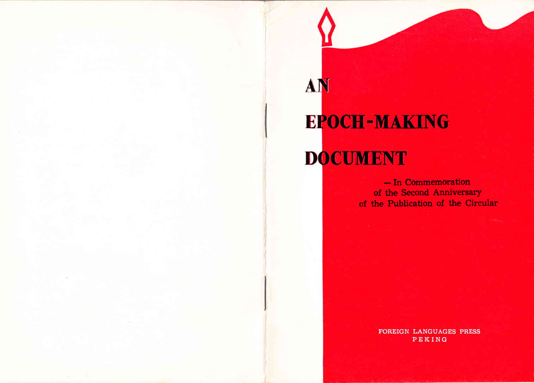# **EPOCH-MAKING DOCUMENT**

AN

- In Commemoration of the Second Anniversary of the Publication of the Circular

> FOREIGN LANGUAGES PRESS PEKING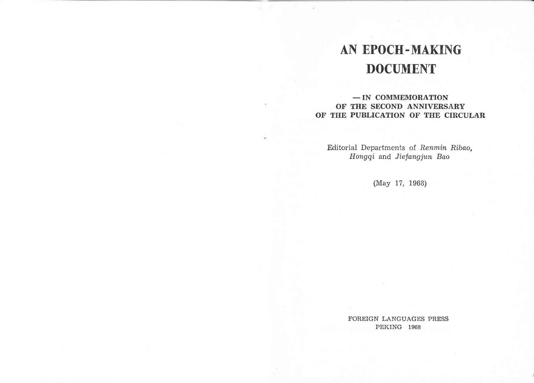# AN EPOCH-MAKING DOCUMENT

 $-$  IN COMMEMORATION OF THE SECOND ANNIVERSARY OF THE PUBLICATION OF THE CIRCULAR

Editorial Departments of Renmin Ribao, Hongqi and Jiefangjun Bao

(May 17, 1968)

FOREIGN LANGUAGES PRESS PEKING 1968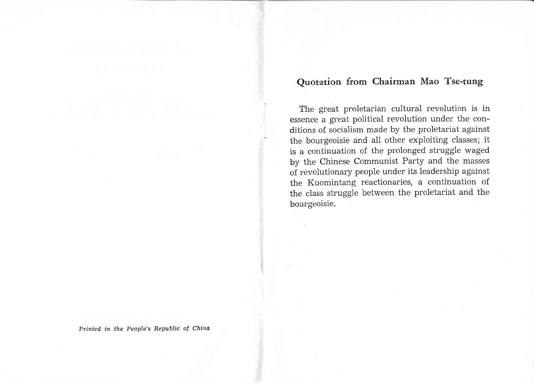### Quotation from Chairman Mao Tse-tung

The great proletarian cultural revolution is in essence a great political revolution under the conditions of socialism made by the proletariat against the bourgeoisie and all other exploiting classes; it is a continuation of the prolonged struggle waged by the Chinese Communist Party and the masses of revolutionary people under its leadership against the Kuomintang reactionaries, a continuation of the class struggle between the proletariat and the bourgeoisie.

Printed in the People's Republic of China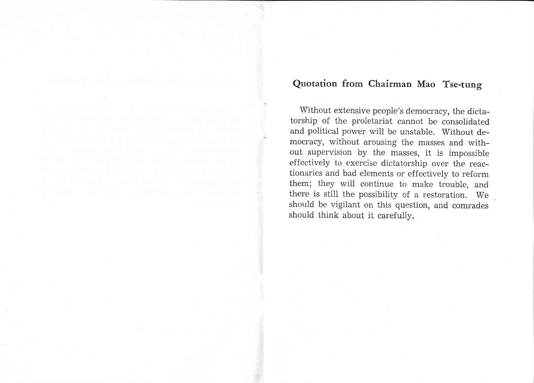## Quotation from Chairman Mao Tse-tung

Without extensive people's democracy, the dictatorship of the proletariat cannot be consolidated and political power will be unstable. Without democracy, without arousing the masses and without supervision by the masses, it is impossible effectively to exercise dictatorship over the reactionaries and bad elements or effectively to reform them; they will continue to make trouble, and there is still the possibility of a restoration. We should be vigilant on this question, and comrades should think about it carefully.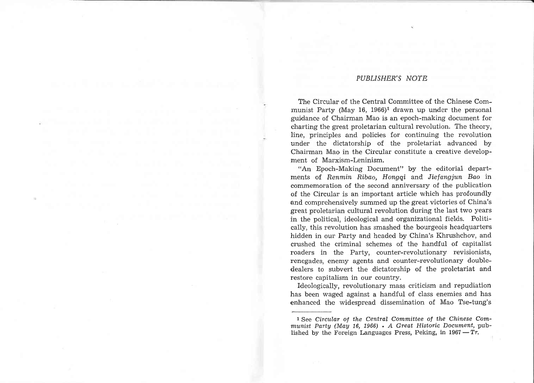#### PUBLISHER'S NOTE

The Circular of the Central Committee of the Chinese Communist Party (May  $16$ ,  $1966$ )<sup>1</sup> drawn up under the personal guidance of Chairman Mao is an epoch-making document for charting the great proletarian cultural revolution. The theory, line, principles and policies for continuing the revolution under the dictatorship of the proletariat advanced by Chairman Mao in the Circular constitute a creative development of Marxism-Leninism.

"An Epoch-Making Document" by the editorial departments of Renmin Ribao, Hongqi and Jiefangjun Bao in commemoration of the second anniversary of the publication of the Circular is an important article which has profoundly end comprehensively summed up the great victories of China's great proletarian cultural revolution during the last two years in the political, ideological and organizational fields. Politically, this revolution has smashed the bourgeois headquarters hidden in our Party and headed by China's Khrushchov, and crushed the criminal schemes of the handful of capitalist roaders in the Party, counter-revolutionary revisionists, renegades, enemy agents and counter-revolutionary doubledealers to subvert the dictatorship of the proletariat and restore capitalism in our country.

Ideologically, revolutionary mass criticism and repudiation has been waged against a handful of class enemies and has enhanced the widespread dissemination of Mao Tse-tung's

<sup>1</sup> See Circular of the Central Committee of the Chinese Communist Party (May 16, 1966) . A Great Historic Document, published by the Foreign Languages Press, Peking, in  $1967 - Tr$ .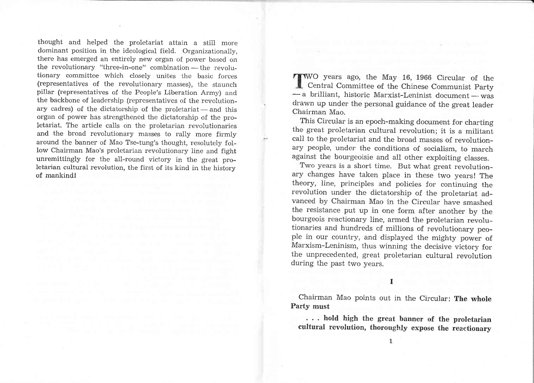thought and helped the proletariat attain a still more dominant position in the ideological field. Organizationally, there has emerged an entirely new organ of power based on the revolutionary "three-in-one" combination — the revolutionary committee which closely unites the basic forces (representatives of the revolutionary masses), the staunch pillar (representatives of the Feople's Liberation Army) and the backbone of Ieadership (representatives of the revolutionary cadres) of the dictatorship of the proletariat and this ary caures) of the dictatorship of the profetariat—and this<br>organ of power has strengthened the dictatorship of the proletariat. The article calls on the proletarian revolutionaries and the broad revolutionary masses to rally more firmly around the banner of Mao Tse-tung's thought, resolutely fol-Iow Chairman Mao's proletarian revolutionary line and fight unremittingly for the all-round victory in the great proletarian cultural revolution, the first of its kind in the history of mankindl

WO years ago, the May 16, 1gG6 Circular of the Central Committee of the Chinese Communist party brilliant, historic Marxist-Leninist document — was d british it. Institute that the Lemmarc document — was<br>drawn up under the personal guidance of the great leader Chairman Mao.

This Circular is an epoch-making dooument for charting the great proletarian cultural revolution; it is a militant call to the proletariat and the broad masses of revolutionary people, under the conditions of socialism, to march against the bourgeoisie and all other exploiting classes.

Two years is a short time. But what great revolutionary changes have taken place in these two years! The theory, line, principles and policies for continuing the revolution under the dictatorship of the proletariat advanced by Chairman Mao in the Circular have smashed the resistance put up in one form after another by the bourgeois reactionary line, armed the proletarian revolutionaries and hundreds of millions of revolutionary people in our country, and displayed the mighty power of Marxism-Leninism, thus winning the decisive victory for the unprecedented, great proletarian cultural revolution during the past two years.

#### I

Chairman Mao points out in the Circular: The whole Party must

. . . hold high the great banner of the proletarian cultural revolution, thoroughly expose the reactionary

 $\mathbf 1$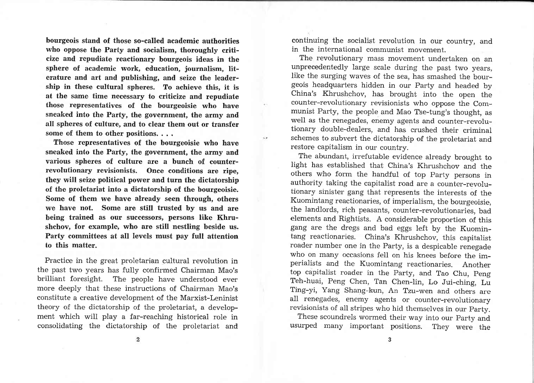bourgeois stand of those so-called academic authorities who oppose the Party and socialism, thoroughly criticize and repudiate reactionary bourgeois ideas in the sphere of academic work, education, journalism, literature and art and puhlishing, and seize the leadership in these cultural spheres. To achieve this, it is at the same time necessary to criticize and repudiate those representatives of the bourgeoisie who have sneaked into the Party, the government, the army and all spheres of culture, and to clear them out or transfer some of them to other positions. . . .

Those representatives of the bourgeoisie who have sneaked into the Party, the government, the army and various spheres of culture are a bunch of counterrevolutionary revisionists. Once conditions are ripe, they will seize political power and turn the dictatorship of the proletariat into a dictatorship of the bourgeoisie. Some of them we have already seen through, others we have not. Some are still trusted by us and are being trained as our successors, persons like Khrushchov, for example, who are still nestling beside us. Party committees at all levels must pay full attention to this matter.

Practice in the great proletarian cultural revolution in the past two years has fully confirmed Chairman Mao's brilliant foresight. The people have understood ever more deeply that these instructions of Chairman Mao's constitute a creative development of the Marxist-Leninist theory of the dictatorship of the proletariat, a development which will play a far-reaching historical role in consolidating the dictatorship of the proletariat and

continuing the socialist revolution in our country, and in the international communist movement.

The revolutionary mass movement undertaken on an unprecedentedly large scale during the past two years, like the surging waves of the sea, has smashed the bourgeois headquarters hidden in our Party and headed by China's Khrushchov, has brought into the open the counter-revolutionary revisionists who oppose the Communist Party, the people and Mao Tse-tung's thought, as well as the renegades, enemy agents and counter-revolutionary double-dealers, and has crushed their criminal schemes to subvert the dictatorship of the proletariat and restore capitalism in our country.

The abundant, irrefutable evidence already brought to Iight has established that China's Khrushchov and the others who form the handful of top party persons in authority taking the capitalist road are a counter-revolutionary sinister gang that represents the interests of the Kuomintang reactionaries, of imperialism, the bourgeoisie, the landlords, rich peasants, counter-revolutionaries, bad elements and Rightists. A considerable proportion of this gang are the dregs and bad eggs left by the Kuomintang reactionaries. China's Khrushchov, this capitalist roader number one in the Party, is a despicable renegade who on many occasions fell on his knees before the imperialists and the Kuomintang reactionaries. Another top capitalist roader in the Party, and Tao Chu, peng Teh-huai, Peng Chen, Tan Chen-lin, Lo Jui-ching, Lu Ting-yi, Yang Shang-kun, An Tzu-wen and others are all renegades, enemy agents or counter-revolutionary revisionists of all stripes who hid themselves in our party.

These scoundrels wormed their way into our Party and usurped many important positions. They were the

 $\overline{2}$ 

3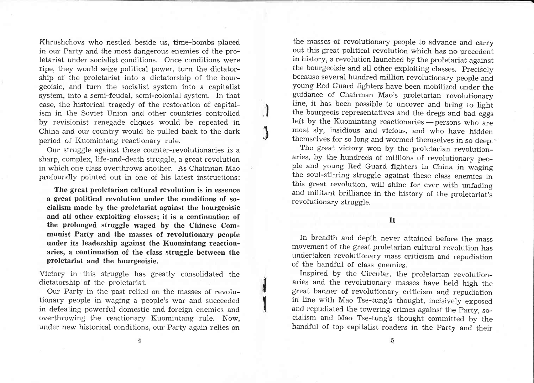Khrushchovs who nestled beside us, time-bombs placed in our Party and the most dangerous enemies of the pro-Ietariat under socialist conditions. Once conditions were ripe, they would seize political power, turn the dictatorship of the proletariat into a dictatorship of the bourgeoisie, and turn the socialist system into a capitalist system, into a semi-feudal, semi-colonial system. In that case, the historical tragedy of the restoration of capitalism in the Soviet Union and other countries controlled by revisionist renegade cliques would be repeated in China and our country would be pulled back to the dark period of Kuomintang reactionary rule.

**l** 

)

Our struggle against these counter-revolutionaries is a sharp, complex, life-and-death struggle, a great revolution in which one class overthrows another. As Chairman Mao profoundly pointed out in one of his latest instructions:

The great proletarian cultural revolution is in essence a great political revolution under the conditions of socialism rnade hy the proletariat against the bourgeoisie and all other exploiting classes; it is a continuation of the prolonged struggle waged by the Chinese Communist Party and the masses of revolutionary people under its leadership against the Kuomintang reactionaries, a continuation of the class struggle between the proletariat and the bourgeoisie.

Victory in this struggle has greatly consolidated the dictatorship of the proletariat.

Our Party in the past reiied on the masses of revolutionary people in waging a people's war and succeeded in defeating powerful domestic and foreign enemies and overthrowing the reactionary Kuomintang rule. Now, under new historical conditions, our Party again relies on

the masses of revolutionary people to advance and carry out this great political revolution which has no precedent in history, a revolution launched by the proletariat against the bourgeoisie and all other exploiting classes. precisely because several hundred million revolutionary people and young Red Guard fighters have been mobilized under the guidance of Chairman Mao's proletarian revolutionary Iine, it has been possible to uncover and bring to light the bourgeois representatives and the dregs and bad eggs left by the Kuomintang reactionaries — persons who are ert by the Huonimitally reactionaries — persons who are<br>most sly, insidious and vicious, and who have hidden themselves for so long and wormed themselves in so deep.

The great victory won by the proletarian revolutionaries, by the hundreds of millions of revolutionary people and young Red Guard fighters in China in waging the soul-stirring struggle against these class enernies in this great revolution, will shine for ever with unfading and militant brilliance in the history of the proletariat's revolutionary struggle.

II

In breadth and depth never attained before the mass movement of the great proletarian cultural revolution has undertaken revolutionary mass criticism and repudiation of the handful of class enemies.

Inspired by the Circular, the proletarian revolutionaries and the revolutionary masses have held high the great banner of revolutionary criticism and repudiation in line with Mao Tse-tung's thought, incisively exposed and repudiated the towering crimes against the party, socialism and Mao Tse-tung's thought committed by the handful of top capitalist roaders in the Party and their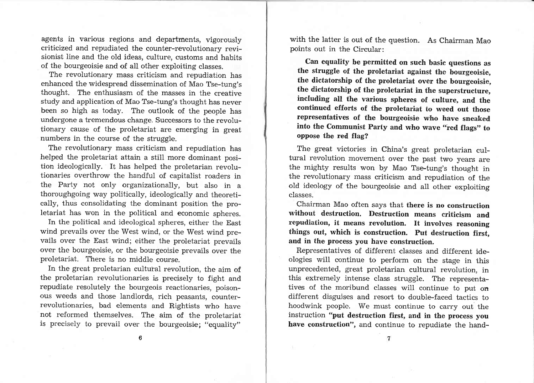agents in various regions and departments, vigorously criticized and repudiated the counter-revolutionary revisionist line and the old ideas, culture, customs and habits of the bourgeoisie and of aII other exploiting classes.

The revolutionary mass criticism and repudiation has enhanced the widespread dissemination of Mao Tse-tung's thought. The enthusiasm of the masses in the creative study and application of Mao Tse-tung's thought has never been so high as today. The outlook of the people has undergone a tremendous change. Successors to the revolutionary cause of the proletariat are emerging in great numbers in the course of the struggle.

The revolutionary mass criticism and repudiation has helped the proletariat attain a still more dominant position ideologically. It has helped the proletarian revolutionaries overthrow the handful of capitalist roaders in the Party not only organizationally, but also in <sup>a</sup> thoroughgoing way politically, ideologically and theoretically, thus consolidating the dominant position the proletariat has won in the political and economic spheres.

In the political and ideological spheres, either the East wind prevails over the West wind, or the West wind prevails over the East wind; either the proletariat prevails over the bourgeoisie, or the bourgeoisie prevails over the proletariat. There is no middle course.

not reformed themselves. The aim of the proletariat is precisely to prevail over the bourgeoisie; "equality" In the great proletarian cultural revolution, the aim of the proletarian revolutionaries is precisely to fight and repudiate resolutely the bourgeois reactionaries, poisonous weeds and those landlords, rich peasants, counterrevolutionaries, bad elements and Rightists who have with the latter is out of the question. As Chairman Mao points out in the Circular:

Can equality be permitted on such basic questions as the struggle of the proletariat against the bourgeoisie, the dictatorship of the proletariat over the bourgeoisie, the dictatorship of the proletariat in the superstructure, including all the various spheres of culture, and the continued efforts of the proletariat to weed out those representatives of the bourgeoisie who have sneaked into the Communist Party and who wave "red flags" to oppose the red flag?

The great victories in China's great proletarian cultural revolution movement over the past two years are the mighty results won by Mao Tse-tung's thought in the revolutionary mass criticism and repudiation of the old ideology of the bourgeoisie and all other exploiting classes.

Chairman Mao often says that there is no construction without destruction. Destruction means criticism and repudiation, it means revolution. It involves reasoning things out, which is construction. Put destruction first, and in the process you have construction.

Representatives of different classes and different ideologies will continue to perform on the stage in this unprecedented, great proletarian cultural revolution, in this extremely intense class struggle. The representatives of the moribund classes will continue to put on different disguises and resort to double-faced tactics to hoodwink people. We must continue to carry out the instruction "put destruction first, and in the process you have construction", and continue to repudiate the hand-

6

 $\overline{7}$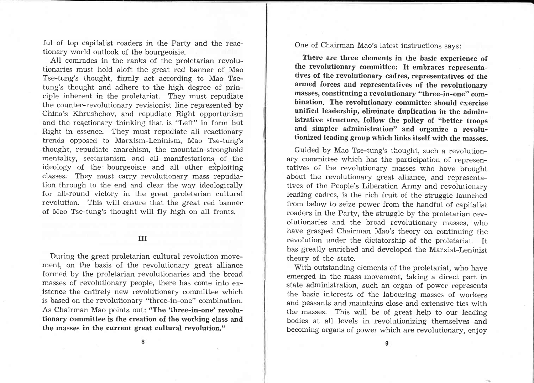ful of top capitalist roaders in the Party and the reactionary world outlook of the bourgeoisie.

All comrades in the ranks of the proletarian revolutionaries must hold aloft the great red banner of Mao Tse-tung's thought, firrnly act according to Mao Tsetung's thought and adhere to the high degree of principle inherent in the proletariat. They must repudiate the counter-revolutionary revisionist line represented by China's Khrushchov, and repudiate Right opportunism and the reactionary thinking that is "Left" in form but Right in essence. They must repudiate all reactionary trends opposed to Marxism-Leninism, Mao Tse-tung's thought, repudiate anarchism, the mountain-stronghold mentality, sectarianism and all manifestations of the ideology of the bourgeoisie and all other exploiting classes. They must carry revolutionary mass repudiation through to the end and clear the way ideologically for all-round victory in the great proletarian cultural revolution. This will ensure that the great red banner of Mao Tse-tung's thought will fIy high on all fronts.

#### III

During the great proletarian cultural revolution movement, on the basis of the revolutionary great alliance formed by the proletarian revolutionaries and the broad masses of revolutionary people, there has come into existence the entirely new revolutionary committee which is based on the revolutionary "three-in-one" combination. As Chairman Mao points out: "The 'three-in-one' revolutionary committee is the creation of the working class and the masses in the current great cultural revolution."

One of Chairman Mao's latest instructions says:

There are three elements in the basie experience of the revolutionary committee: It embraces representatives of the revolutionary cadres, representatives of the arrned forces and representatives of the revolutionary masses, constituting a revolutionary "three-in-one" combination. The revolutionary committee should exercise unified leadership, eliminate duplication in the administrative structure, follow the policy of "better troops and simpler administration" and organize a revolutionized leading group which links itself with the masses.

Guided by Mao Tse-tung's thought, such a revolutionary committee which has the participation of representatives of the revolutionary masses who have brought about the revolutionary great alliance, and representatives of the People's Liberation Army and revolutionary leading cadres, is the rich fruit of the struggle launched from below to seize power from the handful of capitalist roaders in the Party, the struggle by the proletarian revolutionaries and the broad revolutionary masses, who have grasped Chairman Mao's theory on continuing the revolution under the dictatorship of the proletariat. It has greatly enriched and developed the Marxist-Leninist theory of the state.

With outstanding elements of the proletariat, who have emerged in the mass movement, taking a direct part in state administration, such an organ of power represents the basic interests of the labouring masses of workers and peasants and maintains close and extensive ties with the masses. This will be of great help to our leading bodies at aII levels in revolutionizing themselves and becoming organs of power which are revolutionary, enjoy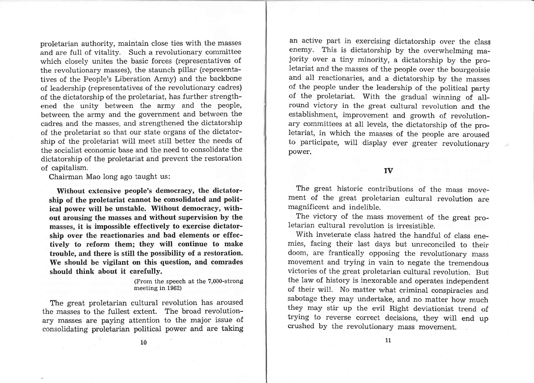proletarian authority, maintain close ties with the masses and are full of vitality. Such a revolutionary committee which closely unites the basic forces (representatives of the revolutionary masses), the staunch pillar (representatives of the People's Liberation Army) and the backbone of leadership (representatives of the revolutionary cadres) of the dictatorship of the proletariat, has further strengthened the unity between the army and the people, between the army and the government and between the cadres and the masses, and strengthened the dictatorship of the proletariat so that our state organs of the dictatorship of the proletariat will meet still better the needs of the socialist economic base and the need to consolidate the dictatorship of the proletariat and prevent the restoration of capitalism.

Chairman Mao long ago taught us:

Without extensive people's democracy, the dictatorship of the proletariat cannot be consolidated and political power will be unstable, Without democracy, without arousing the masses and without supervision by the masses, it is impossible effectively to exercise dictatorship over the reactionaries and bad elements or effectively to reform them; they will continue to make trouble, and there is still the possibility of a restoration. We should be vigilant on this question, and comrades should think about it carefully.

## (From the speech at the  $7,000$ -strong meeting in  $1962$ )

The great proletarian cultural revolution has aroused the masses to the fullest extent. The broad revolutionary masses are paying attention to the major issue of consolidating proletarian political power and are taking

an active part in exercising dictatorship over the class enemy. This is dictatorship by the overwhelming majority over a tiny minority, a dictatorship by the proletariat and the masses of the people over the bourgeoisie and aII reactionaries, and a dictatorship by the masses of the people under the leadership of the political party of the proletariat. With the gradual winning of al1 round victory in the great cultural revolution and the establishment, improvement and growth of revolutionary committees at all levels, the dictatorship of the proletariat, in which the masses of the people are aroused to participate, will display ever greater revolutionary power.

#### IV

The great historic contributions of the mass movement of the great proletarian cultural revolution are magnificent and indelible.

The victory of the mass movement of the great proletarian cultural revolution is irresistible.

With inveterate class hatred the handful of class enemies, facing their last days but unreconciled to their doom, are frantically opposing the revolutionary mass movement and trying in vain to negate the tremendous victories of the great proletarian cultural revolution. But the law of history is inexorable and operates independent of their will. No matter what criminal conspiracies and sabotage they may undertake, and no matter how much they may stir up the evil Right deviationist trend of trying to reverse correct decisions, they will end up crushed by the revolutionary mass movement.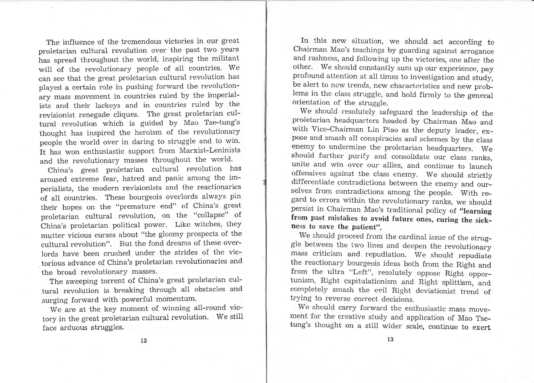The influence of the tremendous victories in our great proletarian cultural revolution over the past two years has spread throughout the world, inspiring the militant will of the revolutionary people of all countries. We can see that the great proletarian cultural revolution has played a certain role in pushing forward the revolutionary mass movement in countries ruled by the imperialists and their lackeys and in countries ruled by the revisionist renegade cliques. The great proletarian cultural revolution which is guided by Mao Tse-tung's thought has inspired the heroism of the revolutionary people the world over in daring to struggle and to win. It has won enthusiastic support from Marxist-Leninists and the revolutionary masses throughout the world.

China's great proletarian cultural revolution has aroused extreme fear, hatred and panic among the imperialists, the modern revisionists and the reactionaries of all countries. These bourgeois overlords always pin their hopes on the "prernature end" of China's great proletarian cultural revolution, on the "collapse" of China's proletarian political power. Like witches, they mutter vicious curses about "the gloomy prospects of the cultural revolution". But the fond dreams of these overlords have been crushed under the strides of the victorious advance of China's proletarian revolutionaries and the broad revolutionary masses.

The sweeping torrent of China's great proletarian cultural revolution is breaking through all obstacles and surging forward with powerful momentum.

We are at the key moment of winning all-round victory in the great proletarian cultural revolution. We still face arduous struggles.

In this new situation, we should act according to Chairman Mao's teachings by guarding against arrogance other. We should constantly sum up our experience, pay profound attention at all times to investigation and study. be alert to new trends, new characteristics and new problems in the class struggle, and hold firmly to the general orientation of the struggie.

We should resolutely safeguard the leadership of the proletarian headquarters headed by Chairman Mao and with Vice-Chairman Lin Piao as the deputy leader, expose and smash all conspiracies and schemes by the class enemy to undermine the proletarian headquarters. We should further purify and consolidate our class ranks, unite and win over our allies, and continue to launch offensives against the class enemy. We should strictly differentiate contradictions between the enemy and our-<br>selves from contradictions among the people. With regard to errors within the revolutionary ranks, we should persist in Chairman Mao's traditional policy of "learning from past mistakes to avoid future ones, curing the sickness to save the patient".

We should proceed from the cardinal issue of the strug-<br>gle between the two lines and deepen the revolutionary mass criticism and repudiation. We should repudiate the reactionary bourgeois ideas both from the Right and from the ultra "Left", resolutely oppose Right opportunism, Right capitulationism and Right splittism, and completely smash the evil Right deviationist trend of trying to reverse correct decisions.

We should carry forward the enthusiastic mass movement for the creative study and application of Mao Tse\_ tung's thought on a still wider scale, continue to exert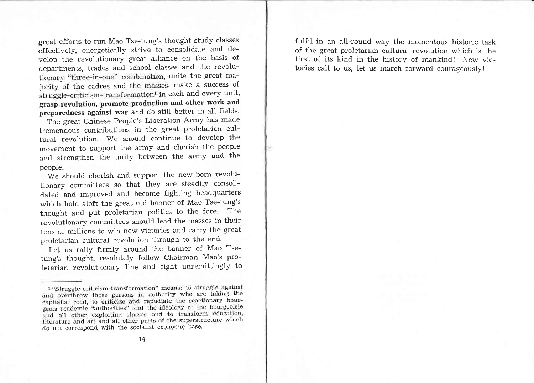great efforts to run Mao Tse-tung's thought study classes effectively, energetically strive to consolidate and develop the revolutionary great alliance on the basis of departments, trades and school classes and the revolutionary "three-in-one" combination, unite the great ma-<br>jority of the cadres and the masses, make a success of struggle-criticism-transformation<sup>1</sup> in each and every unit, grasp revolution, promote production and other work and preparedness against war and do still better in all fields.

The great Chinese People's Liberation Army has made tremendous contributions in the great proletarian cultural revolution. We should continue to develop the movement to support the army and cherish the people and strengthen the unity between the arrny and the people.

We should cherish and support the new-born revolutionary committees so that they are steadily consolidated and improved and become fighting headquarters which hold aloft the great red banner of Mao Tse-tung's thought and put proletarian politics to the fore. The revolutionary committees should lead the masses in their tens of millions to win new victories and carry the great proletarian cultural revolution through to the end.

Let us rally firmly around the banner of Mao Tsetung's thought, resolutely follow Chairrnan Mao's proletarian revolutionary line and fight unremittingly to fulfil in an all-round way the momentous historic task of the great proletarian cultural revolution which is the first of its kind in the history of mankind! New victories call to us, Iet us march forward courageously!

<sup>&</sup>lt;sup>1</sup>"Struggle-criticism-transformation" means: to struggle against and overthrow those persons in authority who are taking the capitalist road, to criticize and repudiate the reactionary bourgeois academic "authorities" and the ideology of the bourgeoisie and all other exploiting classes and to transform education, literature and art and all other parts of the superstructure which do not correspond with the socialist economic base.